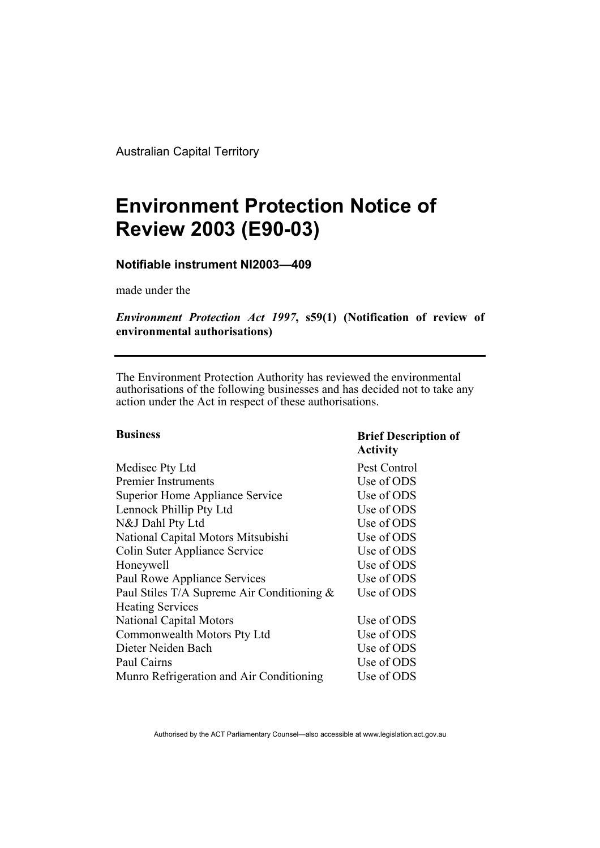Australian Capital Territory

## **Environment Protection Notice of Review 2003 (E90-03)**

## **Notifiable instrument NI2003—409**

made under the

*Environment Protection Act 1997***, s59(1) (Notification of review of environmental authorisations)**

The Environment Protection Authority has reviewed the environmental authorisations of the following businesses and has decided not to take any action under the Act in respect of these authorisations.

## **Business Brief Description of Activity**

| Medisec Pty Ltd                            | Pest Control |
|--------------------------------------------|--------------|
| <b>Premier Instruments</b>                 | Use of ODS   |
| Superior Home Appliance Service            | Use of ODS   |
| Lennock Phillip Pty Ltd                    | Use of ODS   |
| N&J Dahl Pty Ltd                           | Use of ODS   |
| National Capital Motors Mitsubishi         | Use of ODS   |
| Colin Suter Appliance Service              | Use of ODS   |
| Honeywell                                  | Use of ODS   |
| <b>Paul Rowe Appliance Services</b>        | Use of ODS   |
| Paul Stiles T/A Supreme Air Conditioning & | Use of ODS   |
| <b>Heating Services</b>                    |              |
| <b>National Capital Motors</b>             | Use of ODS   |
| Commonwealth Motors Pty Ltd                | Use of ODS   |
| Dieter Neiden Bach                         | Use of ODS   |
| Paul Cairns                                | Use of ODS   |
| Munro Refrigeration and Air Conditioning   | Use of ODS   |
|                                            |              |

Authorised by the ACT Parliamentary Counsel—also accessible at www.legislation.act.gov.au